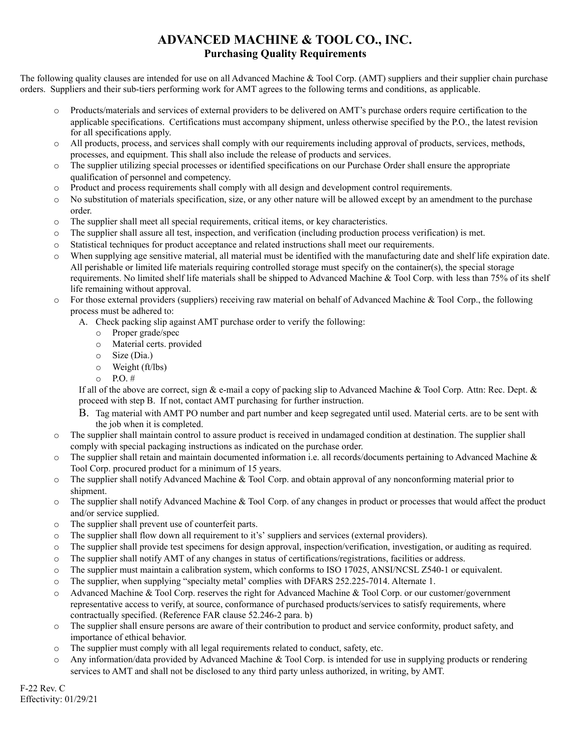## **ADVANCED MACHINE & TOOL CO., INC. Purchasing Quality Requirements**

The following quality clauses are intended for use on all Advanced Machine & Tool Corp. (AMT) suppliers and their supplier chain purchase orders. Suppliers and their sub-tiers performing work for AMT agrees to the following terms and conditions, as applicable.

- o Products/materials and services of external providers to be delivered on AMT's purchase orders require certification to the applicable specifications. Certifications must accompany shipment, unless otherwise specified by the P.O., the latest revision for all specifications apply.
- o All products, process, and services shall comply with our requirements including approval of products, services, methods, processes, and equipment. This shall also include the release of products and services.
- o The supplier utilizing special processes or identified specifications on our Purchase Order shall ensure the appropriate qualification of personnel and competency.
- o Product and process requirements shall comply with all design and development control requirements.
- o No substitution of materials specification, size, or any other nature will be allowed except by an amendment to the purchase order.
- o The supplier shall meet all special requirements, critical items, or key characteristics.
- o The supplier shall assure all test, inspection, and verification (including production process verification) is met.
- o Statistical techniques for product acceptance and related instructions shall meet our requirements.
- o When supplying age sensitive material, all material must be identified with the manufacturing date and shelf life expiration date. All perishable or limited life materials requiring controlled storage must specify on the container(s), the special storage requirements. No limited shelf life materials shall be shipped to Advanced Machine & Tool Corp. with less than 75% of its shelf life remaining without approval.
- $\circ$  For those external providers (suppliers) receiving raw material on behalf of Advanced Machine & Tool Corp., the following process must be adhered to:
	- A. Check packing slip against AMT purchase order to verify the following:
		- o Proper grade/spec
		- o Material certs. provided
		- o Size (Dia.)
		- o Weight (ft/lbs)
		- $\circ$  P.O. #

If all of the above are correct, sign & e-mail a copy of packing slip to Advanced Machine & Tool Corp. Attn: Rec. Dept. & proceed with step B. If not, contact AMT purchasing for further instruction.

- B. Tag material with AMT PO number and part number and keep segregated until used. Material certs. are to be sent with the job when it is completed.
- The supplier shall maintain control to assure product is received in undamaged condition at destination. The supplier shall comply with special packaging instructions as indicated on the purchase order.
- $\circ$  The supplier shall retain and maintain documented information i.e. all records/documents pertaining to Advanced Machine & Tool Corp. procured product for a minimum of 15 years.
- $\circ$  The supplier shall notify Advanced Machine & Tool Corp. and obtain approval of any nonconforming material prior to shipment.
- o The supplier shall notify Advanced Machine & Tool Corp. of any changes in product or processes that would affect the product and/or service supplied.
- o The supplier shall prevent use of counterfeit parts.
- o The supplier shall flow down all requirement to it's' suppliers and services (external providers).
- o The supplier shall provide test specimens for design approval, inspection/verification, investigation, or auditing as required.
- o The supplier shall notify AMT of any changes in status of certifications/registrations, facilities or address.
- o The supplier must maintain a calibration system, which conforms to ISO 17025, ANSI/NCSL Z540-1 or equivalent.
- o The supplier, when supplying "specialty metal' complies with DFARS 252.225-7014. Alternate 1.
- o Advanced Machine & Tool Corp. reserves the right for Advanced Machine & Tool Corp. or our customer/government representative access to verify, at source, conformance of purchased products/services to satisfy requirements, where contractually specified. (Reference FAR clause 52.246-2 para. b)
- o The supplier shall ensure persons are aware of their contribution to product and service conformity, product safety, and importance of ethical behavior.
- o The supplier must comply with all legal requirements related to conduct, safety, etc.
- $\circ$  Any information/data provided by Advanced Machine & Tool Corp. is intended for use in supplying products or rendering services to AMT and shall not be disclosed to any third party unless authorized, in writing, by AMT.